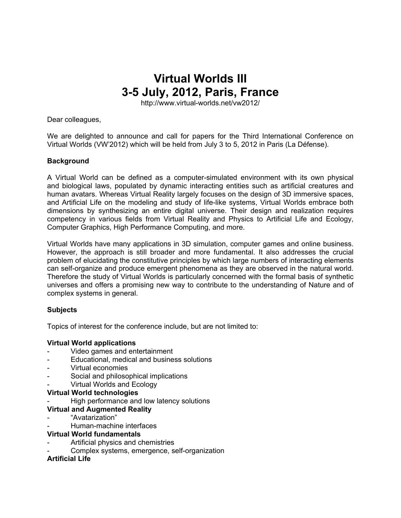# **Virtual Worlds III 3-5 July, 2012, Paris, France**

http://www.virtual-worlds.net/vw2012/

Dear colleagues,

We are delighted to announce and call for papers for the Third International Conference on Virtual Worlds (VW'2012) which will be held from July 3 to 5, 2012 in Paris (La Défense).

#### **Background**

A Virtual World can be defined as a computer-simulated environment with its own physical and biological laws, populated by dynamic interacting entities such as artificial creatures and human avatars. Whereas Virtual Reality largely focuses on the design of 3D immersive spaces, and Artificial Life on the modeling and study of life-like systems, Virtual Worlds embrace both dimensions by synthesizing an entire digital universe. Their design and realization requires competency in various fields from Virtual Reality and Physics to Artificial Life and Ecology, Computer Graphics, High Performance Computing, and more.

Virtual Worlds have many applications in 3D simulation, computer games and online business. However, the approach is still broader and more fundamental. It also addresses the crucial problem of elucidating the constitutive principles by which large numbers of interacting elements can self-organize and produce emergent phenomena as they are observed in the natural world. Therefore the study of Virtual Worlds is particularly concerned with the formal basis of synthetic universes and offers a promising new way to contribute to the understanding of Nature and of complex systems in general.

#### **Subjects**

Topics of interest for the conference include, but are not limited to:

#### **Virtual World applications**

- Video games and entertainment
- Educational, medical and business solutions
- Virtual economies
- Social and philosophical implications
- Virtual Worlds and Ecology

#### **Virtual World technologies**

- High performance and low latency solutions
- **Virtual and Augmented Reality**
- "Avatarization"
- Human-machine interfaces

#### **Virtual World fundamentals**

- Artificial physics and chemistries
- Complex systems, emergence, self-organization

### **Artificial Life**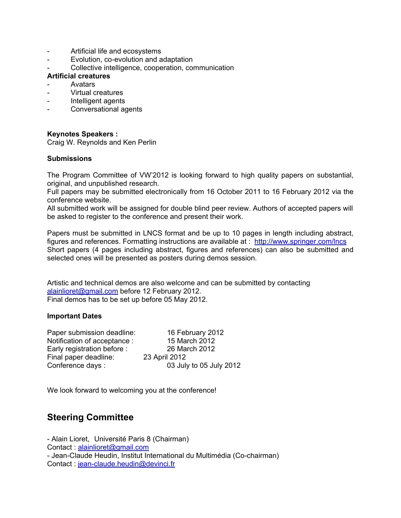- Artificial life and ecosystems
- Evolution, co-evolution and adaptation
- Collective intelligence, cooperation, communication

#### **Artificial creatures**

- **Avatars**
- Virtual creatures
- Intelligent agents
- Conversational agents

#### **Keynotes Speakers :**

Craig W. Reynolds and Ken Perlin

#### **Submissions**

The Program Committee of VW'2012 is looking forward to high quality papers on substantial, original, and unpublished research.

Full papers may be submitted electronically from 16 October 2011 to 16 February 2012 via the conference website.

All submitted work will be assigned for double blind peer review. Authors of accepted papers will be asked to register to the conference and present their work.

Papers must be submitted in LNCS format and be up to 10 pages in length including abstract, figures and references. Formatting instructions are available at : [http://www.springer.com/lncs](http://www.google.com/url?q=http%3A%2F%2Fwww.springer.com%2Flncs&sa=D&sntz=1&usg=AFQjCNEczxifQBtTNmgtzP0BD0UJxx73hg) Short papers (4 pages including abstract, figures and references) can also be submitted and selected ones will be presented as posters during demos session.

Artistic and technical demos are also welcome and can be submitted by contacting [alainlioret@gmail.com](mailto:alainlioret@gmail.com) before 12 February 2012. Final demos has to be set up before 05 May 2012.

#### **Important Dates**

| Paper submission deadline:   | 16 February 2012        |
|------------------------------|-------------------------|
| Notification of acceptance : | 15 March 2012           |
| Early registration before :  | 26 March 2012           |
| Final paper deadline:        | 23 April 2012           |
| Conference days:             | 03 July to 05 July 2012 |
|                              |                         |

We look forward to welcoming you at the conference!

## **Steering Committee**

- Alain Lioret, Université Paris 8 (Chairman) Contact : [alainlioret@gmail.com](mailto:alainlioret@gmail.com) - Jean-Claude Heudin, Institut International du Multimédia (Co-chairman) Contact : [jean-claude.heudin@devinci.fr](mailto:jean-claude.heudin@devinci.fr)